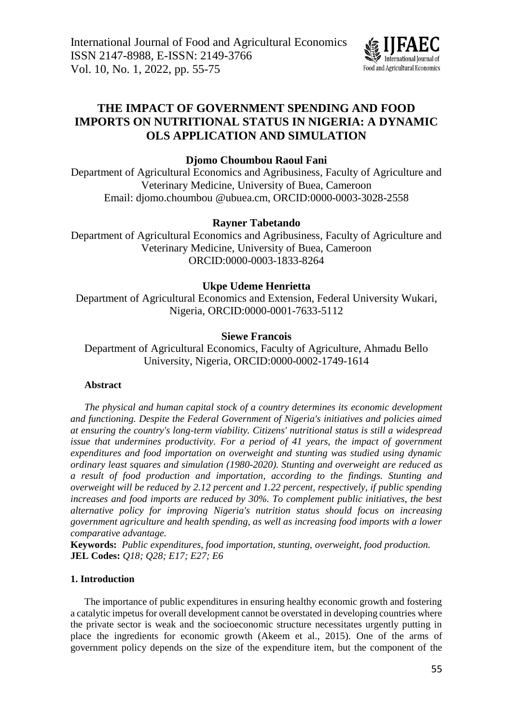

# **THE IMPACT OF GOVERNMENT SPENDING AND FOOD IMPORTS ON NUTRITIONAL STATUS IN NIGERIA: A DYNAMIC OLS APPLICATION AND SIMULATION**

# **Djomo Choumbou Raoul Fani**

Department of Agricultural Economics and Agribusiness, Faculty of Agriculture and Veterinary Medicine, University of Buea, Cameroon Email: [djomo.choumbou.@ubuea.cm,](mailto:djomo.choumbou.@ubuea.cm) ORCID:0000-0003-3028-2558

# **Rayner Tabetando**

Department of Agricultural Economics and Agribusiness, Faculty of Agriculture and Veterinary Medicine, University of Buea, Cameroon ORCID:0000-0003-1833-8264

## **Ukpe Udeme Henrietta**

Department of Agricultural Economics and Extension, Federal University Wukari, Nigeria, ORCID:0000-0001-7633-5112

## **Siewe Francois**

Department of Agricultural Economics, Faculty of Agriculture, Ahmadu Bello University, Nigeria, ORCID:0000-0002-1749-1614

## **Abstract**

*The physical and human capital stock of a country determines its economic development and functioning. Despite the Federal Government of Nigeria's initiatives and policies aimed at ensuring the country's long-term viability. Citizens' nutritional status is still a widespread issue that undermines productivity. For a period of 41 years, the impact of government expenditures and food importation on overweight and stunting was studied using dynamic ordinary least squares and simulation (1980-2020). Stunting and overweight are reduced as a result of food production and importation, according to the findings. Stunting and overweight will be reduced by 2.12 percent and 1.22 percent, respectively, if public spending increases and food imports are reduced by 30%. To complement public initiatives, the best alternative policy for improving Nigeria's nutrition status should focus on increasing government agriculture and health spending, as well as increasing food imports with a lower comparative advantage.*

**Keywords:** *Public expenditures, food importation, stunting, overweight, food production.* **JEL Codes:** *Q18; Q28; E17; E27; E6*

#### **1. Introduction**

The importance of public expenditures in ensuring healthy economic growth and fostering a catalytic impetus for overall development cannot be overstated in developing countries where the private sector is weak and the socioeconomic structure necessitates urgently putting in place the ingredients for economic growth (Akeem et al., 2015). One of the arms of government policy depends on the size of the expenditure item, but the component of the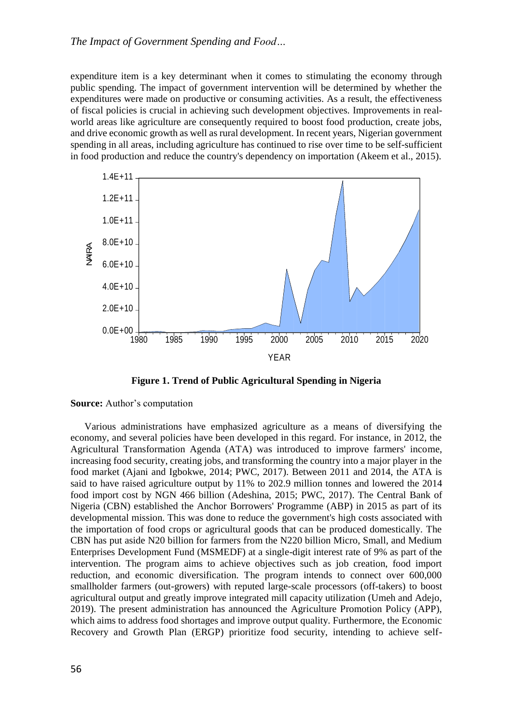### *The Impact of Government Spending and Food…*

expenditure item is a key determinant when it comes to stimulating the economy through public spending. The impact of government intervention will be determined by whether the expenditures were made on productive or consuming activities. As a result, the effectiveness of fiscal policies is crucial in achieving such development objectives. Improvements in realworld areas like agriculture are consequently required to boost food production, create jobs, and drive economic growth as well as rural development. In recent years, Nigerian government spending in all areas, including agriculture has continued to rise over time to be self-sufficient in food production and reduce the country's dependency on importation (Akeem et al., 2015).



**Figure 1. Trend of Public Agricultural Spending in Nigeria**

**Source:** Author's computation

Various administrations have emphasized agriculture as a means of diversifying the economy, and several policies have been developed in this regard. For instance, in 2012, the Agricultural Transformation Agenda (ATA) was introduced to improve farmers' income, increasing food security, creating jobs, and transforming the country into a major player in the food market (Ajani and Igbokwe, 2014; PWC, 2017). Between 2011 and 2014, the ATA is said to have raised agriculture output by 11% to 202.9 million tonnes and lowered the 2014 food import cost by NGN 466 billion (Adeshina, 2015; PWC, 2017). The Central Bank of Nigeria (CBN) established the Anchor Borrowers' Programme (ABP) in 2015 as part of its developmental mission. This was done to reduce the government's high costs associated with the importation of food crops or agricultural goods that can be produced domestically. The CBN has put aside N20 billion for farmers from the N220 billion Micro, Small, and Medium Enterprises Development Fund (MSMEDF) at a single-digit interest rate of 9% as part of the intervention. The program aims to achieve objectives such as job creation, food import reduction, and economic diversification. The program intends to connect over 600,000 smallholder farmers (out-growers) with reputed large-scale processors (off-takers) to boost agricultural output and greatly improve integrated mill capacity utilization (Umeh and Adejo, 2019). The present administration has announced the Agriculture Promotion Policy (APP), which aims to address food shortages and improve output quality. Furthermore, the Economic Recovery and Growth Plan (ERGP) prioritize food security, intending to achieve self-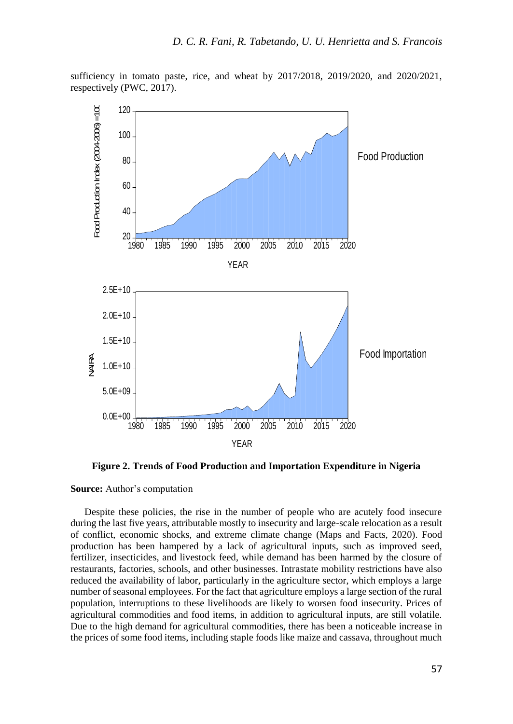

sufficiency in tomato paste, rice, and wheat by 2017/2018, 2019/2020, and 2020/2021, respectively (PWC, 2017).

**Figure 2. Trends of Food Production and Importation Expenditure in Nigeria**

**Source:** Author's computation

Despite these policies, the rise in the number of people who are acutely food insecure during the last five years, attributable mostly to insecurity and large-scale relocation as a result of conflict, economic shocks, and extreme climate change (Maps and Facts, 2020). Food production has been hampered by a lack of agricultural inputs, such as improved seed, fertilizer, insecticides, and livestock feed, while demand has been harmed by the closure of restaurants, factories, schools, and other businesses. Intrastate mobility restrictions have also reduced the availability of labor, particularly in the agriculture sector, which employs a large number of seasonal employees. For the fact that agriculture employs a large section of the rural population, interruptions to these livelihoods are likely to worsen food insecurity. Prices of agricultural commodities and food items, in addition to agricultural inputs, are still volatile. Due to the high demand for agricultural commodities, there has been a noticeable increase in the prices of some food items, including staple foods like maize and cassava, throughout much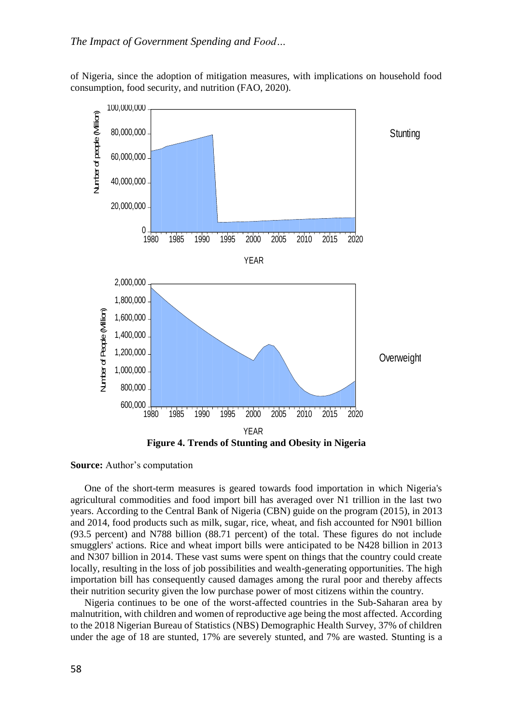of Nigeria, since the adoption of mitigation measures, with implications on household food consumption, food security, and nutrition (FAO, 2020).



**Source:** Author's computation

One of the short-term measures is geared towards food importation in which Nigeria's agricultural commodities and food import bill has averaged over N1 trillion in the last two years. According to the Central Bank of Nigeria (CBN) guide on the program (2015), in 2013 and 2014, food products such as milk, sugar, rice, wheat, and fish accounted for N901 billion (93.5 percent) and N788 billion (88.71 percent) of the total. These figures do not include smugglers' actions. Rice and wheat import bills were anticipated to be N428 billion in 2013 and N307 billion in 2014. These vast sums were spent on things that the country could create locally, resulting in the loss of job possibilities and wealth-generating opportunities. The high importation bill has consequently caused damages among the rural poor and thereby affects their nutrition security given the low purchase power of most citizens within the country.

Nigeria continues to be one of the worst-affected countries in the Sub-Saharan area by malnutrition, with children and women of reproductive age being the most affected. According to the 2018 Nigerian Bureau of Statistics (NBS) Demographic Health Survey, 37% of children under the age of 18 are stunted, 17% are severely stunted, and 7% are wasted. Stunting is a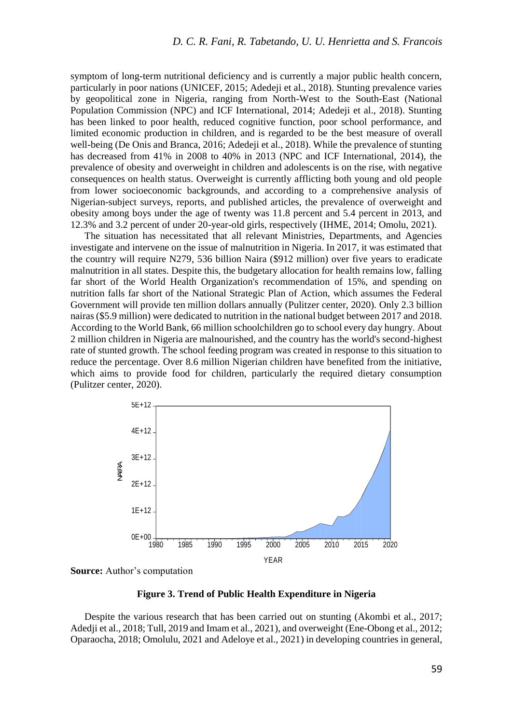symptom of long-term nutritional deficiency and is currently a major public health concern, particularly in poor nations (UNICEF, 2015; Adedeji et al., 2018). Stunting prevalence varies by geopolitical zone in Nigeria, ranging from North-West to the South-East (National Population Commission (NPC) and ICF International, 2014; Adedeji et al., 2018). Stunting has been linked to poor health, reduced cognitive function, poor school performance, and limited economic production in children, and is regarded to be the best measure of overall well-being (De Onis and Branca, 2016; Adedeji et al., 2018). While the prevalence of stunting has decreased from 41% in 2008 to 40% in 2013 (NPC and ICF International, 2014), the prevalence of obesity and overweight in children and adolescents is on the rise, with negative consequences on health status. Overweight is currently afflicting both young and old people from lower socioeconomic backgrounds, and according to a comprehensive analysis of Nigerian-subject surveys, reports, and published articles, the prevalence of overweight and obesity among boys under the age of twenty was 11.8 percent and 5.4 percent in 2013, and 12.3% and 3.2 percent of under 20-year-old girls, respectively (IHME, 2014; Omolu, 2021).

The situation has necessitated that all relevant Ministries, Departments, and Agencies investigate and intervene on the issue of malnutrition in Nigeria. In 2017, it was estimated that the country will require N279, 536 billion Naira (\$912 million) over five years to eradicate malnutrition in all states. Despite this, the budgetary allocation for health remains low, falling far short of the World Health Organization's recommendation of 15%, and spending on nutrition falls far short of the National Strategic Plan of Action, which assumes the Federal Government will provide ten million dollars annually (Pulitzer center, 2020). Only 2.3 billion nairas (\$5.9 million) were dedicated to nutrition in the national budget between 2017 and 2018. According to the World Bank, 66 million schoolchildren go to school every day hungry. About 2 million children in Nigeria are malnourished, and the country has the world's second-highest rate of stunted growth. The school feeding program was created in response to this situation to reduce the percentage. Over 8.6 million Nigerian children have benefited from the initiative, which aims to provide food for children, particularly the required dietary consumption (Pulitzer center, 2020).



**Source:** Author's computation

**Figure 3. Trend of Public Health Expenditure in Nigeria**

Despite the various research that has been carried out on stunting (Akombi et al., 2017; Adedji et al., 2018; Tull, 2019 and Imam et al., 2021), and overweight (Ene-Obong et al., 2012; Oparaocha, 2018; Omolulu, 2021 and Adeloye et al., 2021) in developing countries in general,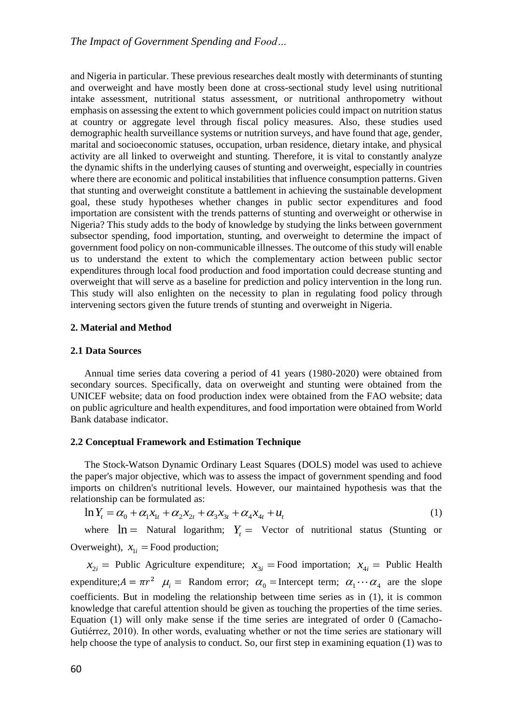and Nigeria in particular. These previous researches dealt mostly with determinants of stunting and overweight and have mostly been done at cross-sectional study level using nutritional intake assessment, nutritional status assessment, or nutritional anthropometry without emphasis on assessing the extent to which government policies could impact on nutrition status at country or aggregate level through fiscal policy measures. Also, these studies used demographic health surveillance systems or nutrition surveys, and have found that age, gender, marital and socioeconomic statuses, occupation, urban residence, dietary intake, and physical activity are all linked to overweight and stunting. Therefore, it is vital to constantly analyze the dynamic shifts in the underlying causes of stunting and overweight, especially in countries where there are economic and political instabilities that influence consumption patterns. Given that stunting and overweight constitute a battlement in achieving the sustainable development goal, these study hypotheses whether changes in public sector expenditures and food importation are consistent with the trends patterns of stunting and overweight or otherwise in Nigeria? This study adds to the body of knowledge by studying the links between government subsector spending, food importation, stunting, and overweight to determine the impact of government food policy on non-communicable illnesses. The outcome of this study will enable us to understand the extent to which the complementary action between public sector expenditures through local food production and food importation could decrease stunting and overweight that will serve as a baseline for prediction and policy intervention in the long run. This study will also enlighten on the necessity to plan in regulating food policy through intervening sectors given the future trends of stunting and overweight in Nigeria.

#### **2. Material and Method**

#### **2.1 Data Sources**

Annual time series data covering a period of 41 years (1980-2020) were obtained from secondary sources. Specifically, data on overweight and stunting were obtained from the UNICEF website; data on food production index were obtained from the FAO website; data on public agriculture and health expenditures, and food importation were obtained from World Bank database indicator.

#### **2.2 Conceptual Framework and Estimation Technique**

The Stock-Watson Dynamic Ordinary Least Squares (DOLS) model was used to achieve the paper's major objective, which was to assess the impact of government spending and food imports on children's nutritional levels. However, our maintained hypothesis was that the relationship can be formulated as:

$$
\ln Y_t = \alpha_0 + \alpha_1 x_{1t} + \alpha_2 x_{2t} + \alpha_3 x_{3t} + \alpha_4 x_{4t} + u_t
$$
\n(1)

where  $\ln =$  Natural logarithm;  $Y_t =$  Vector of nutritional status (Stunting or Overweight),  $x_{1i}$  = Food production;

 $x_{2i}$  = Public Agriculture expenditure;  $x_{3i}$  = Food importation;  $x_{4i}$  = Public Health expenditure;  $A = \pi r^2$   $\mu_i =$  Random error;  $\alpha_0 =$ Intercept term;  $\alpha_1 \cdots \alpha_4$  are the slope coefficients. But in modeling the relationship between time series as in (1), it is common knowledge that careful attention should be given as touching the properties of the time series. Equation (1) will only make sense if the time series are integrated of order 0 (Camacho-Gutiérrez, 2010). In other words, evaluating whether or not the time series are stationary will help choose the type of analysis to conduct. So, our first step in examining equation (1) was to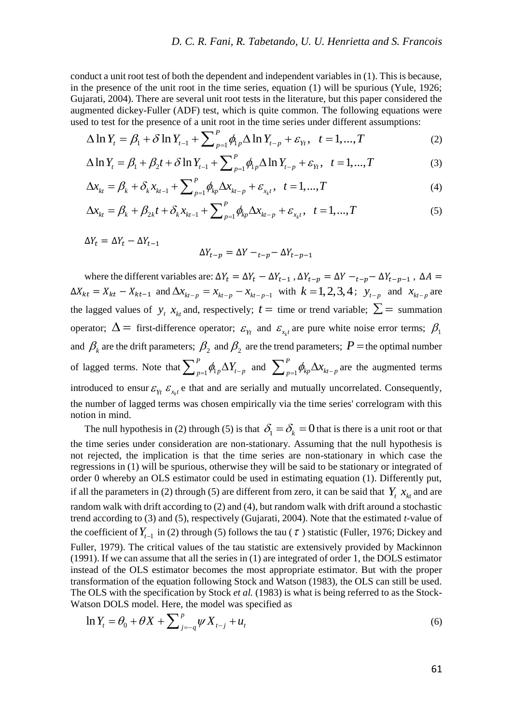conduct a unit root test of both the dependent and independent variables in (1). This is because, in the presence of the unit root in the time series, equation (1) will be spurious (Yule, 1926; Gujarati, 2004). There are several unit root tests in the literature, but this paper considered the augmented dickey-Fuller (ADF) test, which is quite common. The following equations were used to test for the presence of a unit root in the time series under different assumptions:

$$
\Delta \ln Y_t = \beta_1 + \delta \ln Y_{t-1} + \sum_{p=1}^P \phi_{1p} \Delta \ln Y_{t-p} + \varepsilon_{Yt}, \quad t = 1, ..., T
$$
\n
$$
\Delta \ln Y_t = \beta_1 + \beta_2 t + \delta \ln Y_{t-1} + \sum_{p=1}^P \phi_{1p} \Delta \ln Y_{t-p} + \varepsilon_{Yt}, \quad t = 1, ..., T
$$
\n(3)

$$
\Delta \ln Y_{t} = \beta_{1} + \beta_{2} t + \delta \ln Y_{t-1} + \sum_{p=1}^{P} \phi_{1p} \Delta \ln Y_{t-p} + \varepsilon_{Yt}, \quad t = 1,...,T
$$
\n
$$
\Delta x_{kt} = \beta_{k} + \delta_{k} x_{kt-1} + \sum_{p=1}^{P} \phi_{kp} \Delta x_{kt-p} + \varepsilon_{x_{k}t}, \quad t = 1,...,T
$$
\n(4)

$$
\Delta x_{kt} = \beta_k + \delta_k x_{kt-1} + \sum_{p=1}^P \phi_{kp} \Delta x_{kt-p} + \varepsilon_{x_k t}, \quad t = 1, ..., T
$$
\n
$$
\Delta x_{kt} = \beta_k + \beta_{2k} t + \delta_k x_{kt-1} + \sum_{p=1}^P \phi_{kp} \Delta x_{kt-p} + \varepsilon_{x_k t}, \quad t = 1, ..., T
$$
\n(4)

$$
\Delta x_{kt} = \beta_k + \beta_{2k} t + \delta_k x_{kt-1} + \sum_{p=1}^P \phi_{kp} \Delta x_{kt-p} + \varepsilon_{x_k t}, \quad t = 1, ..., T
$$
 (5)

$$
\Delta Y_t = \Delta Y_t - \Delta Y_{t-1}
$$
  

$$
\Delta Y_{t-p} = \Delta Y -_{t-p} - \Delta Y_{t-p-1}
$$

where the different variables are:  $\Delta Y_t = \Delta Y_t - \Delta Y_{t-1}$ ,  $\Delta Y_{t-p} = \Delta Y - t-p - \Delta Y_{t-p-1}$ ,  $\Delta A =$  $\Delta X_{kt} = X_{kt} - X_{kt-1}$  and  $\Delta x_{kt-p} = x_{kt-p} - x_{kt-p-1}$  with  $k = 1, 2, 3, 4$ ;  $y_{t-p}$  and  $x_{kt-p}$  are the lagged values of  $y_t$ ,  $x_{kt}$  and, respectively;  $t =$  time or trend variable;  $\Sigma =$  summation operator;  $\Delta =$  first-difference operator;  $\varepsilon_{Y_t}$  and  $\varepsilon_{X_t}$  are pure white noise error terms;  $\beta_1$ and  $\beta_k$  are the drift parameters;  $\beta_2$  and  $\beta_2$  are the trend parameters;  $P$  = the optimal number of lagged terms. Note that  $\sum_{p=1}^{\infty} \phi_1$  $\sum_{p=1}^P \phi_{1p} \Delta Y_{t-p}$  and  $\sum_{p=1}^P$ *P*  $\sum_{p=1}^{P} \phi_{kp} \Delta x_{kt-p}$  are the augmented terms introduced to ensur  $\varepsilon_{Y_t}$   $\varepsilon_{X_k t}$  e that and are serially and mutually uncorrelated. Consequently, the number of lagged terms was chosen empirically via the time series' correlogram with this notion in mind.

The null hypothesis in (2) through (5) is that  $\delta_1 = \delta_k = 0$  that is there is a unit root or that the time series under consideration are non-stationary. Assuming that the null hypothesis is not rejected, the implication is that the time series are non-stationary in which case the regressions in (1) will be spurious, otherwise they will be said to be stationary or integrated of order 0 whereby an OLS estimator could be used in estimating equation (1). Differently put, if all the parameters in (2) through (5) are different from zero, it can be said that  $Y_t$ ,  $X_{kt}$  and are random walk with drift according to (2) and (4), but random walk with drift around a stochastic trend according to (3) and (5), respectively (Gujarati, 2004). Note that the estimated *t*-value of the coefficient of  $Y_{t-1}$  in (2) through (5) follows the tau ( $\tau$ ) statistic (Fuller, 1976; Dickey and Fuller, 1979). The critical values of the tau statistic are extensively provided by Mackinnon (1991). If we can assume that all the series in (1) are integrated of order 1, the DOLS estimator instead of the OLS estimator becomes the most appropriate estimator. But with the proper transformation of the equation following Stock and Watson (1983), the OLS can still be used. The OLS with the specification by Stock *et al.* (1983) is what is being referred to as the Stock-Watson DOLS model. Here, the model was specified as

$$
\ln Y_{t} = \theta_{0} + \theta X + \sum_{j=-q}^{p} \psi X_{t-j} + u_{t}
$$
\n(6)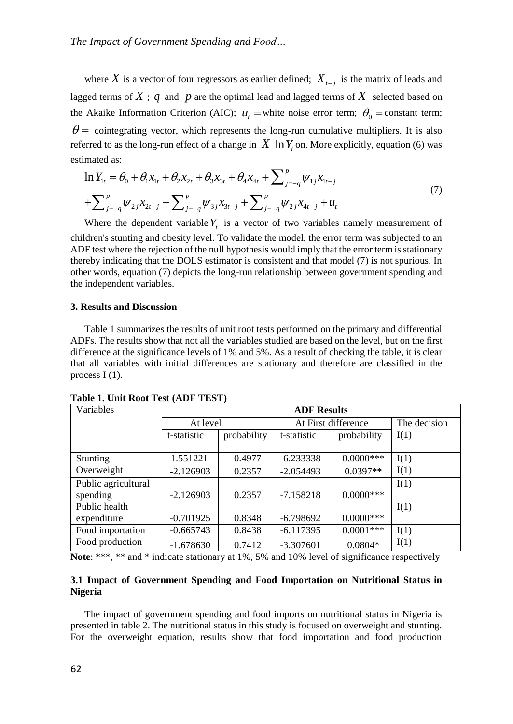where X is a vector of four regressors as earlier defined;  $X_{t-j}$  is the matrix of leads and lagged terms of  $X$  ;  $q$  and  $p$  are the optimal lead and lagged terms of  $X$  selected based on the Akaike Information Criterion (AIC);  $u_t$  = white noise error term;  $\theta_0$  = constant term;  $\theta$  = cointegrating vector, which represents the long-run cumulative multipliers. It is also referred to as the long-run effect of a change in  $X \ln Y_t$  on. More explicitly, equation (6) was estimated as:

$$
\ln Y_{1t} = \theta_0 + \theta_1 x_{1t} + \theta_2 x_{2t} + \theta_3 x_{3t} + \theta_4 x_{4t} + \sum_{j=-q}^{p} \psi_{1j} x_{1t-j} + \sum_{j=-q}^{p} \psi_{2j} x_{2t-j} + \sum_{j=-q}^{p} \psi_{3j} x_{3t-j} + \sum_{j=-q}^{p} \psi_{2j} x_{4t-j} + u_t
$$
\n(7)

Where the dependent variable  $Y_t$  is a vector of two variables namely measurement of children's stunting and obesity level. To validate the model, the error term was subjected to an ADF test where the rejection of the null hypothesis would imply that the error term is stationary thereby indicating that the DOLS estimator is consistent and that model (7) is not spurious. In other words, equation (7) depicts the long-run relationship between government spending and the independent variables.

#### **3. Results and Discussion**

Table 1 summarizes the results of unit root tests performed on the primary and differential ADFs. The results show that not all the variables studied are based on the level, but on the first difference at the significance levels of 1% and 5%. As a result of checking the table, it is clear that all variables with initial differences are stationary and therefore are classified in the process I (1).

| Variables           | <b>ADF Results</b> |             |                     |              |              |  |
|---------------------|--------------------|-------------|---------------------|--------------|--------------|--|
|                     | At level           |             | At First difference |              | The decision |  |
|                     | t-statistic        | probability | t-statistic         | probability  | I(1)         |  |
|                     |                    |             |                     |              |              |  |
| Stunting            | $-1.551221$        | 0.4977      | $-6.233338$         | $0.0000$ *** | I(1)         |  |
| Overweight          | $-2.126903$        | 0.2357      | $-2.054493$         | $0.0397**$   | I(1)         |  |
| Public agricultural |                    |             |                     |              | I(1)         |  |
| spending            | $-2.126903$        | 0.2357      | $-7.158218$         | $0.0000$ *** |              |  |
| Public health       |                    |             |                     |              | I(1)         |  |
| expenditure         | $-0.701925$        | 0.8348      | $-6.798692$         | $0.0000***$  |              |  |
| Food importation    | $-0.665743$        | 0.8438      | $-6.117395$         | $0.0001***$  | I(1)         |  |
| Food production     | $-1.678630$        | 0.7412      | $-3.307601$         | $0.0804*$    | I(1)         |  |

**Table 1. Unit Root Test (ADF TEST)**

**Note**: \*\*\*, \*\* and \* indicate stationary at 1%, 5% and 10% level of significance respectively

## **3.1 Impact of Government Spending and Food Importation on Nutritional Status in Nigeria**

The impact of government spending and food imports on nutritional status in Nigeria is presented in table 2. The nutritional status in this study is focused on overweight and stunting. For the overweight equation, results show that food importation and food production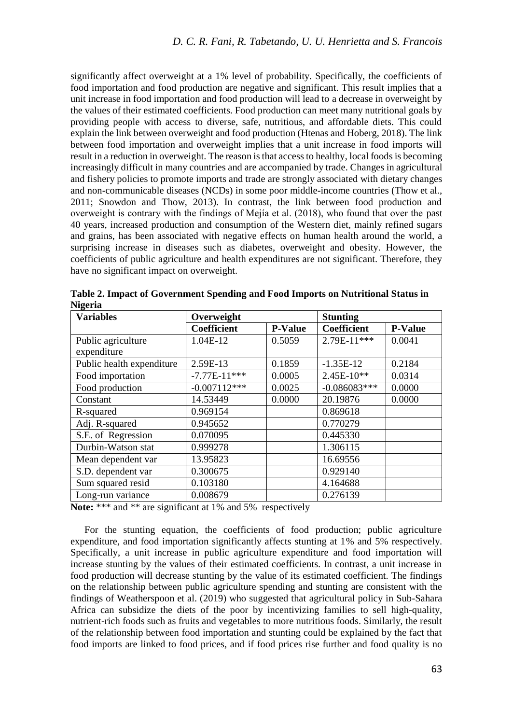significantly affect overweight at a 1% level of probability. Specifically, the coefficients of food importation and food production are negative and significant. This result implies that a unit increase in food importation and food production will lead to a decrease in overweight by the values of their estimated coefficients. Food production can meet many nutritional goals by providing people with access to diverse, safe, nutritious, and affordable diets. This could explain the link between overweight and food production (Htenas and Hoberg, 2018). The link between food importation and overweight implies that a unit increase in food imports will result in a reduction in overweight. The reason is that access to healthy, local foods is becoming increasingly difficult in many countries and are accompanied by trade. Changes in agricultural and fishery policies to promote imports and trade are strongly associated with dietary changes and non-communicable diseases (NCDs) in some poor middle-income countries (Thow et al., 2011; Snowdon and Thow, 2013). In contrast, the link between food production and overweight is contrary with the findings of Mejía et al. (2018), who found that over the past 40 years, increased production and consumption of the Western diet, mainly refined sugars and grains, has been associated with negative effects on human health around the world, a surprising increase in diseases such as diabetes, overweight and obesity. However, the coefficients of public agriculture and health expenditures are not significant. Therefore, they have no significant impact on overweight.

| <b>Variables</b>                  | Overweight     |                | <b>Stunting</b> |                |  |
|-----------------------------------|----------------|----------------|-----------------|----------------|--|
|                                   | Coefficient    | <b>P-Value</b> | Coefficient     | <b>P-Value</b> |  |
| Public agriculture<br>expenditure | 1.04E-12       | 0.5059         | 2.79E-11***     | 0.0041         |  |
| Public health expenditure         | 2.59E-13       | 0.1859         |                 | 0.2184         |  |
| Food importation                  | $-7.77E-11***$ | 0.0005         | $2.45E-10**$    | 0.0314         |  |
| Food production                   | $-0.007112***$ | 0.0025         | $-0.086083***$  | 0.0000         |  |
| Constant                          | 14.53449       | 0.0000         | 20.19876        | 0.0000         |  |
| R-squared                         | 0.969154       |                | 0.869618        |                |  |
| Adj. R-squared                    | 0.945652       |                | 0.770279        |                |  |
| S.E. of Regression                | 0.070095       |                | 0.445330        |                |  |
| Durbin-Watson stat                | 0.999278       |                | 1.306115        |                |  |
| Mean dependent var                | 13.95823       |                | 16.69556        |                |  |
| S.D. dependent var                | 0.300675       |                | 0.929140        |                |  |
| Sum squared resid                 | 0.103180       |                | 4.164688        |                |  |
| Long-run variance                 | 0.008679       |                | 0.276139        |                |  |

**Table 2. Impact of Government Spending and Food Imports on Nutritional Status in Nigeria**

**Note:** \*\*\* and \*\* are significant at 1% and 5% respectively

For the stunting equation, the coefficients of food production; public agriculture expenditure, and food importation significantly affects stunting at 1% and 5% respectively. Specifically, a unit increase in public agriculture expenditure and food importation will increase stunting by the values of their estimated coefficients. In contrast, a unit increase in food production will decrease stunting by the value of its estimated coefficient. The findings on the relationship between public agriculture spending and stunting are consistent with the findings of Weatherspoon et al. (2019) who suggested that agricultural policy in Sub-Sahara Africa can subsidize the diets of the poor by incentivizing families to sell high-quality, nutrient-rich foods such as fruits and vegetables to more nutritious foods. Similarly, the result of the relationship between food importation and stunting could be explained by the fact that food imports are linked to food prices, and if food prices rise further and food quality is no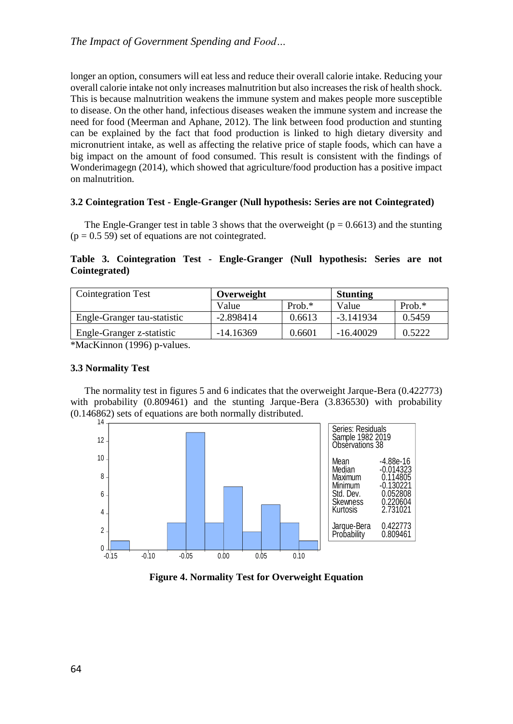longer an option, consumers will eat less and reduce their overall calorie intake. Reducing your overall calorie intake not only increases malnutrition but also increases the risk of health shock. This is because malnutrition weakens the immune system and makes people more susceptible to disease. On the other hand, infectious diseases weaken the immune system and increase the need for food (Meerman and Aphane, 2012). The link between food production and stunting can be explained by the fact that food production is linked to high dietary diversity and micronutrient intake, as well as affecting the relative price of staple foods, which can have a big impact on the amount of food consumed. This result is consistent with the findings of Wonderimagegn (2014), which showed that agriculture/food production has a positive impact on malnutrition.

# **3.2 Cointegration Test - Engle-Granger (Null hypothesis: Series are not Cointegrated)**

The Engle-Granger test in table 3 shows that the overweight ( $p = 0.6613$ ) and the stunting  $(p = 0.5 59)$  set of equations are not cointegrated.

**Table 3. Cointegration Test - Engle-Granger (Null hypothesis: Series are not Cointegrated)**

| <b>Cointegration Test</b>   | Overweight  |           | <b>Stunting</b> |           |
|-----------------------------|-------------|-----------|-----------------|-----------|
|                             | Value       | Prob. $*$ | Value           | Prob. $*$ |
| Engle-Granger tau-statistic | $-2.898414$ | 0.6613    | $-3.141934$     | 0.5459    |
| Engle-Granger z-statistic   | $-14.16369$ | 0.6601    | $-16.40029$     | 0.5222    |

\*MacKinnon (1996) p-values.

### **3.3 Normality Test**

The normality test in figures 5 and 6 indicates that the overweight Jarque-Bera (0.422773) with probability (0.809461) and the stunting Jarque-Bera (3.836530) with probability (0.146862) sets of equations are both normally distributed.



**Figure 4. Normality Test for Overweight Equation**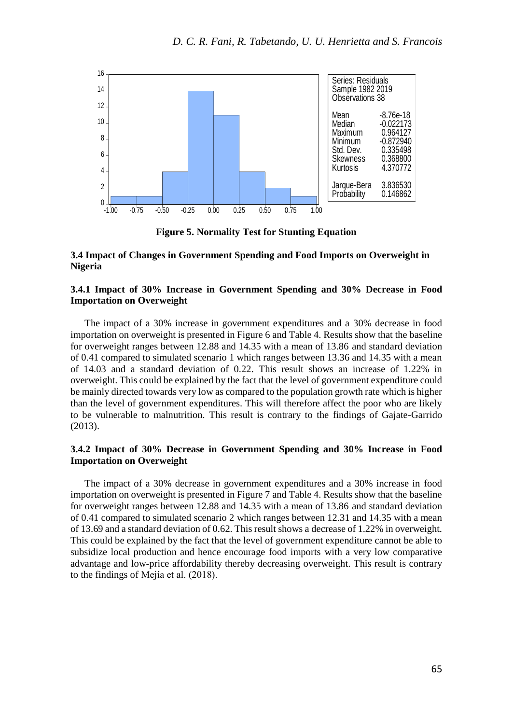

**Figure 5. Normality Test for Stunting Equation**

# **3.4 Impact of Changes in Government Spending and Food Imports on Overweight in Nigeria**

# **3.4.1 Impact of 30% Increase in Government Spending and 30% Decrease in Food Importation on Overweight**

The impact of a 30% increase in government expenditures and a 30% decrease in food importation on overweight is presented in Figure 6 and Table 4. Results show that the baseline for overweight ranges between 12.88 and 14.35 with a mean of 13.86 and standard deviation of 0.41 compared to simulated scenario 1 which ranges between 13.36 and 14.35 with a mean of 14.03 and a standard deviation of 0.22. This result shows an increase of 1.22% in overweight. This could be explained by the fact that the level of government expenditure could be mainly directed towards very low as compared to the population growth rate which is higher than the level of government expenditures. This will therefore affect the poor who are likely to be vulnerable to malnutrition. This result is contrary to the findings of Gajate-Garrido (2013).

## **3.4.2 Impact of 30% Decrease in Government Spending and 30% Increase in Food Importation on Overweight**

The impact of a 30% decrease in government expenditures and a 30% increase in food importation on overweight is presented in Figure 7 and Table 4. Results show that the baseline for overweight ranges between 12.88 and 14.35 with a mean of 13.86 and standard deviation of 0.41 compared to simulated scenario 2 which ranges between 12.31 and 14.35 with a mean of 13.69 and a standard deviation of 0.62. This result shows a decrease of 1.22% in overweight. This could be explained by the fact that the level of government expenditure cannot be able to subsidize local production and hence encourage food imports with a very low comparative advantage and low-price affordability thereby decreasing overweight. This result is contrary to the findings of Mejía et al. (2018).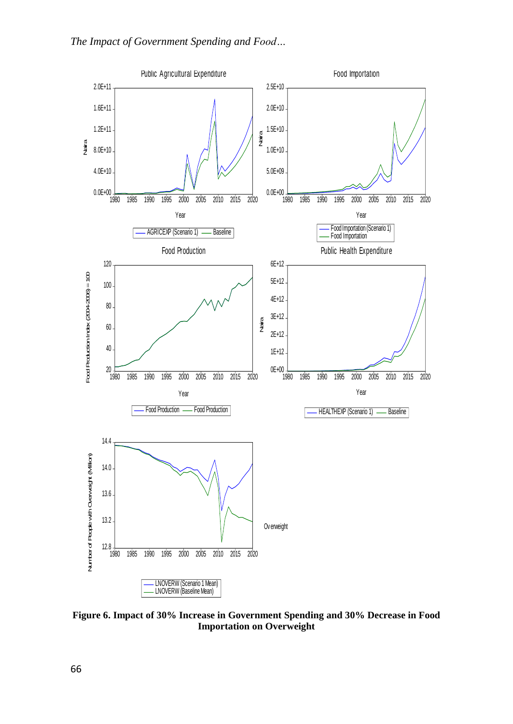

**Figure 6. Impact of 30% Increase in Government Spending and 30% Decrease in Food Importation on Overweight**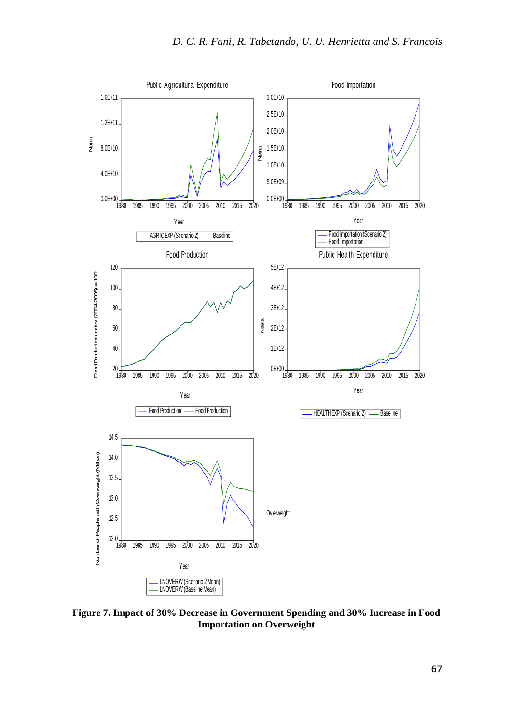

**Figure 7. Impact of 30% Decrease in Government Spending and 30% Increase in Food Importation on Overweight**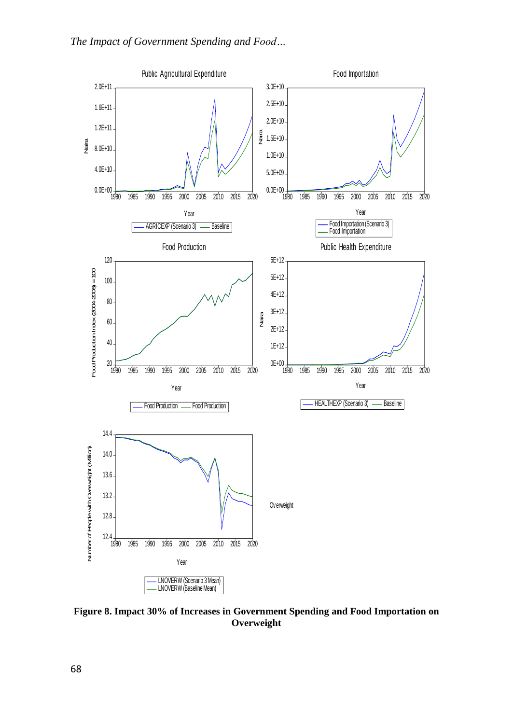

**Figure 8. Impact 30% of Increases in Government Spending and Food Importation on Overweight**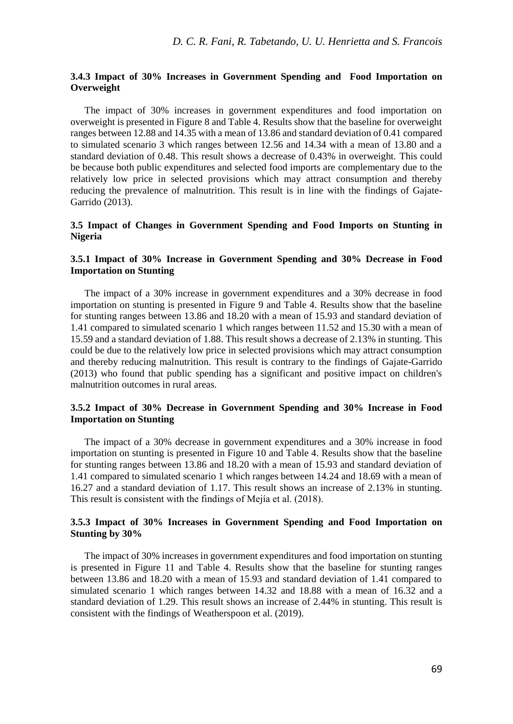## **3.4.3 Impact of 30% Increases in Government Spending and Food Importation on Overweight**

The impact of 30% increases in government expenditures and food importation on overweight is presented in Figure 8 and Table 4. Results show that the baseline for overweight ranges between 12.88 and 14.35 with a mean of 13.86 and standard deviation of 0.41 compared to simulated scenario 3 which ranges between 12.56 and 14.34 with a mean of 13.80 and a standard deviation of 0.48. This result shows a decrease of 0.43% in overweight. This could be because both public expenditures and selected food imports are complementary due to the relatively low price in selected provisions which may attract consumption and thereby reducing the prevalence of malnutrition. This result is in line with the findings of Gajate-Garrido (2013).

## **3.5 Impact of Changes in Government Spending and Food Imports on Stunting in Nigeria**

# **3.5.1 Impact of 30% Increase in Government Spending and 30% Decrease in Food Importation on Stunting**

The impact of a 30% increase in government expenditures and a 30% decrease in food importation on stunting is presented in Figure 9 and Table 4. Results show that the baseline for stunting ranges between 13.86 and 18.20 with a mean of 15.93 and standard deviation of 1.41 compared to simulated scenario 1 which ranges between 11.52 and 15.30 with a mean of 15.59 and a standard deviation of 1.88. This result shows a decrease of 2.13% in stunting. This could be due to the relatively low price in selected provisions which may attract consumption and thereby reducing malnutrition. This result is contrary to the findings of Gajate-Garrido (2013) who found that public spending has a significant and positive impact on children's malnutrition outcomes in rural areas.

# **3.5.2 Impact of 30% Decrease in Government Spending and 30% Increase in Food Importation on Stunting**

The impact of a 30% decrease in government expenditures and a 30% increase in food importation on stunting is presented in Figure 10 and Table 4. Results show that the baseline for stunting ranges between 13.86 and 18.20 with a mean of 15.93 and standard deviation of 1.41 compared to simulated scenario 1 which ranges between 14.24 and 18.69 with a mean of 16.27 and a standard deviation of 1.17. This result shows an increase of 2.13% in stunting. This result is consistent with the findings of Mejía et al. (2018).

## **3.5.3 Impact of 30% Increases in Government Spending and Food Importation on Stunting by 30%**

The impact of 30% increases in government expenditures and food importation on stunting is presented in Figure 11 and Table 4. Results show that the baseline for stunting ranges between 13.86 and 18.20 with a mean of 15.93 and standard deviation of 1.41 compared to simulated scenario 1 which ranges between 14.32 and 18.88 with a mean of 16.32 and a standard deviation of 1.29. This result shows an increase of 2.44% in stunting. This result is consistent with the findings of Weatherspoon et al. (2019).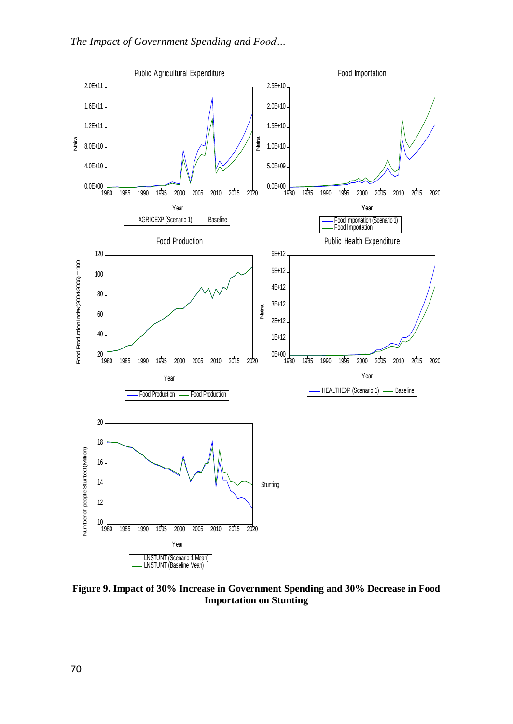

**Figure 9. Impact of 30% Increase in Government Spending and 30% Decrease in Food Importation on Stunting**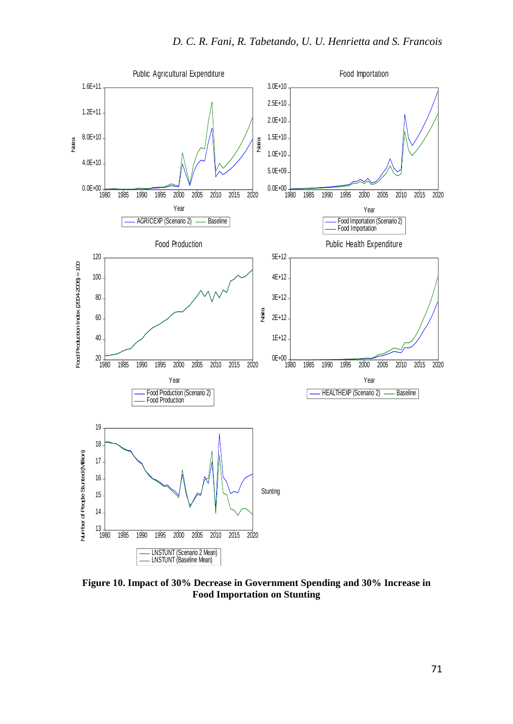

**Figure 10. Impact of 30% Decrease in Government Spending and 30% Increase in Food Importation on Stunting**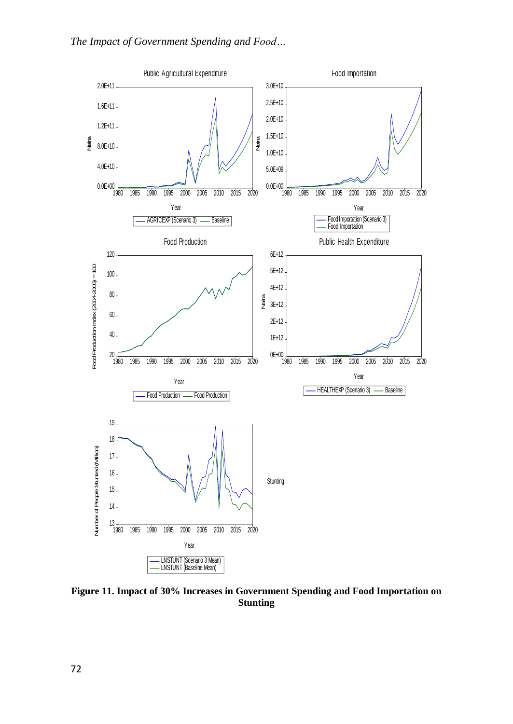

**Figure 11. Impact of 30% Increases in Government Spending and Food Importation on Stunting**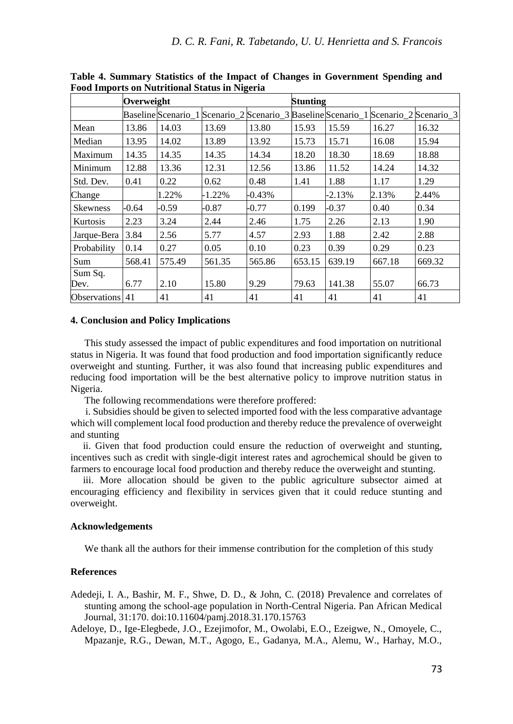|                 | Overweight |         |           |          | <b>Stunting</b> |          |                                                                                     |        |
|-----------------|------------|---------|-----------|----------|-----------------|----------|-------------------------------------------------------------------------------------|--------|
|                 |            |         |           |          |                 |          | Baseline Scenario_1 Scenario_2 Scenario_3 Baseline Scenario_1 Scenario_2 Scenario_3 |        |
| Mean            | 13.86      | 14.03   | 13.69     | 13.80    | 15.93           | 15.59    | 16.27                                                                               | 16.32  |
| Median          | 13.95      | 14.02   | 13.89     | 13.92    | 15.73           | 15.71    | 16.08                                                                               | 15.94  |
| Maximum         | 14.35      | 14.35   | 14.35     | 14.34    | 18.20           | 18.30    | 18.69                                                                               | 18.88  |
| Minimum         | 12.88      | 13.36   | 12.31     | 12.56    | 13.86           | 11.52    | 14.24                                                                               | 14.32  |
| Std. Dev.       | 0.41       | 0.22    | 0.62      | 0.48     | 1.41            | 1.88     | 1.17                                                                                | 1.29   |
| Change          |            | 1.22%   | $-1.22\%$ | $-0.43%$ |                 | $-2.13%$ | 2.13%                                                                               | 2.44%  |
| <b>Skewness</b> | $-0.64$    | $-0.59$ | $-0.87$   | $-0.77$  | 0.199           | $-0.37$  | 0.40                                                                                | 0.34   |
| Kurtosis        | 2.23       | 3.24    | 2.44      | 2.46     | 1.75            | 2.26     | 2.13                                                                                | 1.90   |
| Jarque-Bera     | 3.84       | 2.56    | 5.77      | 4.57     | 2.93            | 1.88     | 2.42                                                                                | 2.88   |
| Probability     | 0.14       | 0.27    | 0.05      | 0.10     | 0.23            | 0.39     | 0.29                                                                                | 0.23   |
| Sum             | 568.41     | 575.49  | 561.35    | 565.86   | 653.15          | 639.19   | 667.18                                                                              | 669.32 |
| Sum Sq.<br>Dev. | 6.77       | 2.10    | 15.80     | 9.29     | 79.63           | 141.38   | 55.07                                                                               | 66.73  |
| Observations    | 41         | 41      | 41        | 41       | 41              | 41       | 41                                                                                  | 41     |

**Table 4. Summary Statistics of the Impact of Changes in Government Spending and Food Imports on Nutritional Status in Nigeria**

#### **4. Conclusion and Policy Implications**

This study assessed the impact of public expenditures and food importation on nutritional status in Nigeria. It was found that food production and food importation significantly reduce overweight and stunting. Further, it was also found that increasing public expenditures and reducing food importation will be the best alternative policy to improve nutrition status in Nigeria.

The following recommendations were therefore proffered:

 i. Subsidies should be given to selected imported food with the less comparative advantage which will complement local food production and thereby reduce the prevalence of overweight and stunting

 ii. Given that food production could ensure the reduction of overweight and stunting, incentives such as credit with single-digit interest rates and agrochemical should be given to farmers to encourage local food production and thereby reduce the overweight and stunting.

 iii. More allocation should be given to the public agriculture subsector aimed at encouraging efficiency and flexibility in services given that it could reduce stunting and overweight.

#### **Acknowledgements**

We thank all the authors for their immense contribution for the completion of this study

#### **References**

- Adedeji, I. A., Bashir, M. F., Shwe, D. D., & John, C. (2018) Prevalence and correlates of stunting among the school-age population in North-Central Nigeria. Pan African Medical Journal, 31:170. doi:10.11604/pamj.2018.31.170.15763
- Adeloye, D., Ige-Elegbede, J.O., Ezejimofor, M., Owolabi, E.O., Ezeigwe, N., Omoyele, C., Mpazanje, R.G., Dewan, M.T., Agogo, E., Gadanya, M.A., Alemu, W., Harhay, M.O.,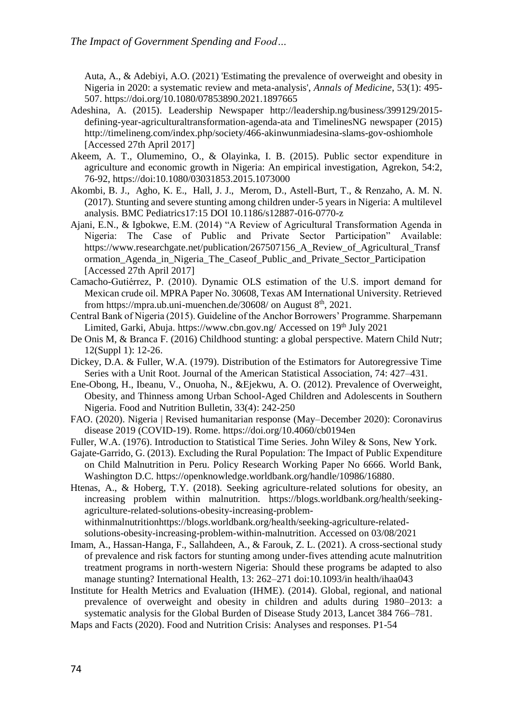Auta, A., & Adebiyi, A.O. (2021) 'Estimating the prevalence of overweight and obesity in Nigeria in 2020: a systematic review and meta-analysis', *Annals of Medicine*, 53(1): 495- 507.<https://doi.org/10.1080/07853890.2021.1897665>

- Adeshina, A. (2015). Leadership Newspaper http://leadership.ng/business/399129/2015 defining-year-agriculturaltransformation-agenda-ata and TimelinesNG newspaper (2015) http://timelineng.com/index.php/society/466-akinwunmiadesina-slams-gov-oshiomhole [Accessed 27th April 2017]
- Akeem, A. T., Olumemino, O., & Olayinka, I. B. (2015). Public sector expenditure in agriculture and economic growth in Nigeria: An empirical investigation, Agrekon, 54:2, 76-92,<https://doi:10.1080/03031853.2015.1073000>
- Akombi, B. J., Agho, K. E., Hall, J. J., Merom, D., Astell-Burt, T., & Renzaho, A. M. N. (2017). Stunting and severe stunting among children under-5 years in Nigeria: A multilevel analysis. BMC Pediatrics17:15 DOI 10.1186/s12887-016-0770-z
- Ajani, E.N., & Igbokwe, E.M. (2014) "A Review of Agricultural Transformation Agenda in Nigeria: The Case of Public and Private Sector Participation" Available: https://www.researchgate.net/publication/267507156 A Review of Agricultural Transf ormation\_Agenda\_in\_Nigeria\_The\_Caseof\_Public\_and\_Private\_Sector\_Participation [Accessed 27th April 2017]
- Camacho-Gutiérrez, P. (2010). Dynamic OLS estimation of the U.S. import demand for Mexican crude oil. MPRA Paper No. 30608, Texas AM International University. Retrieved from<https://mpra.ub.uni-muenchen.de/30608/> on August 8<sup>th</sup>, 2021.
- Central Bank of Nigeria (2015). Guideline of the Anchor Borrowers' Programme. Sharpemann Limited, Garki, Abuja.<https://www.cbn.gov.ng/> Accessed on 19th July 2021
- De Onis M, & Branca F. (2016) Childhood stunting: a global perspective. Matern Child Nutr; 12(Suppl 1): 12-26.
- Dickey, D.A. & Fuller, W.A. (1979). Distribution of the Estimators for Autoregressive Time Series with a Unit Root. Journal of the American Statistical Association, 74: 427–431.
- Ene-Obong, H., Ibeanu, V., Onuoha, N., &Ejekwu, A. O. (2012). Prevalence of Overweight, Obesity, and Thinness among Urban School-Aged Children and Adolescents in Southern Nigeria. Food and Nutrition Bulletin, 33(4): 242-250
- FAO. (2020). Nigeria | Revised humanitarian response (May–December 2020): Coronavirus disease 2019 (COVID-19). Rome.<https://doi.org/10.4060/cb0194en>
- Fuller, W.A. (1976). Introduction to Statistical Time Series. John Wiley & Sons, New York.
- Gajate-Garrido, G. (2013). Excluding the Rural Population: The Impact of Public Expenditure on Child Malnutrition in Peru. Policy Research Working Paper No 6666. World Bank, Washington D.C. [https://openknowledge.worldbank.org/handle/10986/16880.](https://openknowledge.worldbank.org/handle/10986/16880)
- Htenas, A., & Hoberg, T.Y. (2018). Seeking agriculture-related solutions for obesity, an increasing problem within malnutrition. [https://blogs.worldbank.org/health/seeking](https://blogs.worldbank.org/health/seeking-agriculture-related-solutions-obesity-increasing-problem-withinmalnutritionhttps:/blogs.worldbank.org/health/seeking-agriculture-related-solutions-obesity-increasing-problem-within-malnutrition)[agriculture-related-solutions-obesity-increasing-problem](https://blogs.worldbank.org/health/seeking-agriculture-related-solutions-obesity-increasing-problem-withinmalnutritionhttps:/blogs.worldbank.org/health/seeking-agriculture-related-solutions-obesity-increasing-problem-within-malnutrition)[withinmalnutritionhttps://blogs.worldbank.org/health/seeking-agriculture-related-](https://blogs.worldbank.org/health/seeking-agriculture-related-solutions-obesity-increasing-problem-withinmalnutritionhttps:/blogs.worldbank.org/health/seeking-agriculture-related-solutions-obesity-increasing-problem-within-malnutrition)

[solutions-obesity-increasing-problem-within-malnutrition.](https://blogs.worldbank.org/health/seeking-agriculture-related-solutions-obesity-increasing-problem-withinmalnutritionhttps:/blogs.worldbank.org/health/seeking-agriculture-related-solutions-obesity-increasing-problem-within-malnutrition) Accessed on 03/08/2021

- Imam, A., Hassan-Hanga, F., Sallahdeen, A., & Farouk, Z. L. (2021). A cross-sectional study of prevalence and risk factors for stunting among under-fives attending acute malnutrition treatment programs in north-western Nigeria: Should these programs be adapted to also manage stunting? International Health, 13: 262–271 doi:10.1093/in health/ihaa043
- Institute for Health Metrics and Evaluation (IHME). (2014). Global, regional, and national prevalence of overweight and obesity in children and adults during 1980–2013: a systematic analysis for the Global Burden of Disease Study 2013, Lancet 384 766–781.
- Maps and Facts (2020). Food and Nutrition Crisis: Analyses and responses. P1-54